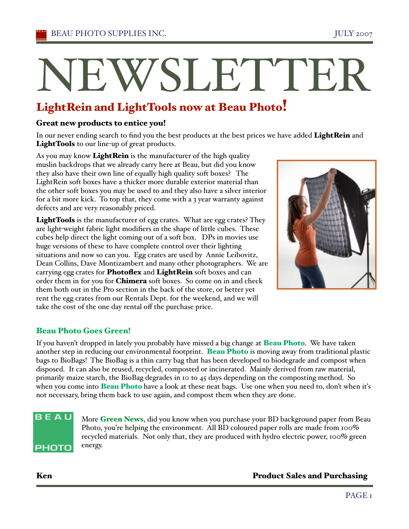# NEWSLETTEI

## LightRein and LightTools now at Beau Photo!

#### Great new products to entice you!

In our never ending search to find you the best products at the best prices we have added LightRein and LightTools to our line-up of great products.

As you may know LightRein is the manufacturer of the high quality muslin backdrops that we already carry here at Beau, but did you know they also have their own line of equally high quality soft boxes? The LightRein soft boxes have a thicker more durable exterior material than the other soft boxes you may be used to and they also have a silver interior for a bit more kick. To top that, they come with a 3 year warranty against defects and are very reasonably priced.

LightTools is the manufacturer of egg crates. What are egg crates? They are light-weight fabric light modifiers in the shape of little cubes. These cubes help direct the light coming out of a soft box. DPs in movies use huge versions of these to have complete control over their lighting situations and now so can you. Egg crates are used by Annie Leibovitz, Dean Collins, Dave Montizambert and many other photographers. We are carrying egg crates for Photoflex and LightRein soft boxes and can order them in for you for **Chimera** soft boxes. So come on in and check them both out in the Pro section in the back of the store, or better yet rent the egg crates from our Rentals Dept. for the weekend, and we will take the cost of the one day rental off the purchase price.



## Beau Photo Goes Green!

If you haven't dropped in lately you probably have missed a big change at **Beau Photo**. We have taken another step in reducing our environmental footprint. Beau Photo is moving away from traditional plastic bags to BioBags! The BioBag is a thin carry bag that has been developed to biodegrade and compost when disposed. It can also be reused, recycled, composted or incinerated. Mainly derived from raw material, primarily maize starch, the BioBag degrades in 10 to 45 days depending on the composting method. So when you come into **Beau Photo** have a look at these neat bags. Use one when you need to, don't when it's not necessary, bring them back to use again, and compost them when they are done.

## BEAU РНОТО

More Green News, did you know when you purchase your BD background paper from Beau Photo, you're helping the environment. All BD coloured paper rolls are made from 100% recycled materials. Not only that, they are produced with hydro electric power, 100% green energy.

Ken Product Sales and Purchasing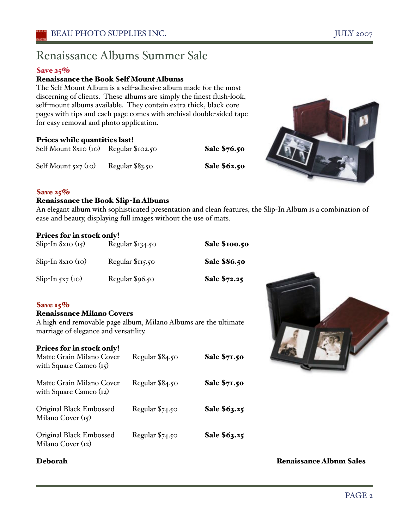## Renaissance Albums Summer Sale

#### Save 25%

#### Renaissance the Book Self Mount Albums

The Self Mount Album is a self-adhesive album made for the most discerning of clients. These albums are simply the finest flush-look, self-mount albums available. They contain extra thick, black core pages with tips and each page comes with archival double-sided tape for easy removal and photo application.

#### Prices while quantities last!

| Self Mount 8x10 (10) Regular \$102.50 |                 | Sale \$76.50 |
|---------------------------------------|-----------------|--------------|
| Self Mount 5x7 (10)                   | Regular \$83.50 | Sale \$62.50 |
|                                       |                 |              |



#### Save 25%

#### Renaissance the Book Slip-In Albums

An elegant album with sophisticated presentation and clean features, the Slip-In Album is a combination of ease and beauty, displaying full images without the use of mats.

#### Prices for in stock only!

| Slip-In $8x10(r5)$  | Regular \$134.50 | Sale \$100.50 |
|---------------------|------------------|---------------|
| $Slip-In 8xIO (IO)$ | Regular \$115.50 | Sale \$86.50  |
| Slip-In $5x7(10)$   | Regular \$96.50  | Sale \$72.25  |

#### Save  $15%$

#### Renaissance Milano Covers

A high-end removable page album, Milano Albums are the ultimate marriage of elegance and versatility.

#### Prices for in stock only!

| Matte Grain Milano Cover<br>with Square Cameo $(i5)$ | Regular \$84.50 | <b>Sale \$71.50</b> |
|------------------------------------------------------|-----------------|---------------------|
| Matte Grain Milano Cover<br>with Square Cameo $(i2)$ | Regular \$84.50 | <b>Sale \$71.50</b> |
| Original Black Embossed<br>Milano Cover $(i5)$       | Regular \$74.50 | Sale \$63.25        |
| Original Black Embossed<br>Milano Cover (12)         | Regular \$74.50 | Sale \$63.25        |

Deborah Renaissance Album Sales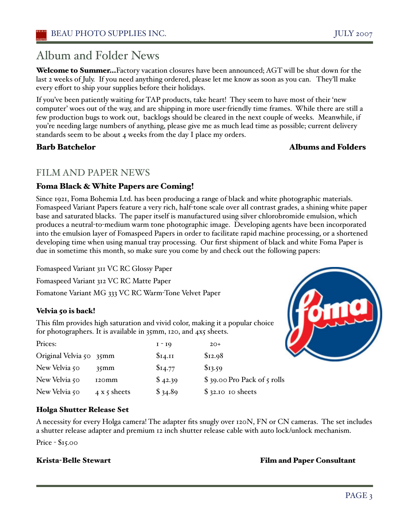## Album and Folder News

Welcome to Summer...Factory vacation closures have been announced; AGT will be shut down for the last 2 weeks of July. If you need anything ordered, please let me know as soon as you can. They'll make every effort to ship your supplies before their holidays.

If you've been patiently waiting for TAP products, take heart! They seem to have most of their 'new computer' woes out of the way, and are shipping in more user-friendly time frames. While there are still a few production bugs to work out, backlogs should be cleared in the next couple of weeks. Meanwhile, if you're needing large numbers of anything, please give me as much lead time as possible; current delivery standards seem to be about 4 weeks from the day I place my orders.

#### **Barb Batchelor Batchelor Albums and Folders**

## FILM AND PAPER NEWS

### Foma Black & White Papers are Coming!

Since 1921, Foma Bohemia Ltd. has been producing a range of black and white photographic materials. Fomaspeed Variant Papers feature a very rich, half-tone scale over all contrast grades, a shining white paper base and saturated blacks. The paper itself is manufactured using silver chlorobromide emulsion, which produces a neutral-to-medium warm tone photographic image. Developing agents have been incorporated into the emulsion layer of Fomaspeed Papers in order to facilitate rapid machine processing, or a shortened developing time when using manual tray processing. Our first shipment of black and white Foma Paper is due in sometime this month, so make sure you come by and check out the following papers:

Fomaspeed Variant 311 VC RC Glossy Paper Fomaspeed Variant 312 VC RC Matte Paper Fomatone Variant MG 333 VC RC Warm-Tone Velvet Paper

#### Velvia 50 is back!

This film provides high saturation and vivid color, making it a popular choice for photographers. It is available in 35mm, 120, and 4x5 sheets.

| Prices:                 |              | $I - I9$ | $20+$                        |
|-------------------------|--------------|----------|------------------------------|
| Original Velvia 50 35mm |              | \$I4.II  | \$12.98                      |
| New Velvia 50           | $35$ mm      | \$I4.77  | \$13.59                      |
| New Velvia 50           | 120mm        | \$42.39  | $$39.00$ Pro Pack of 5 rolls |
| New Velvia 50           | 4 x 5 sheets | \$34.89  | $$32.10$ to sheets           |



#### Holga Shutter Release Set

A necessity for every Holga camera! The adapter fits snugly over 120N, FN or CN cameras. The set includes a shutter release adapter and premium 12 inch shutter release cable with auto lock/unlock mechanism.

Price - \$15.00

Krista-Belle Stewart Film and Paper Consultant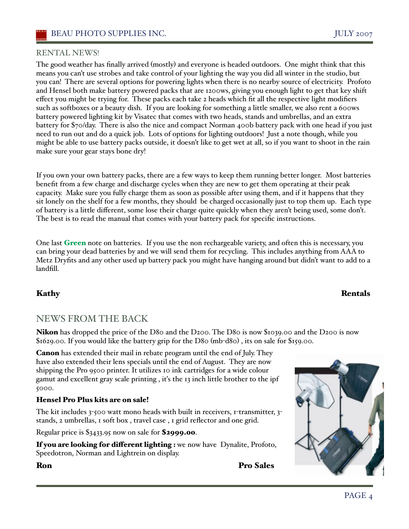#### RENTAL NEWS!

The good weather has finally arrived (mostly) and everyone is headed outdoors. One might think that this means you can't use strobes and take control of your lighting the way you did all winter in the studio, but you can! There are several options for powering lights when there is no nearby source of electricity. Profoto and Hensel both make battery powered packs that are 1200ws, giving you enough light to get that key shift effect you might be trying for. These packs each take 2 heads which fit all the respective light modifiers such as softboxes or a beauty dish. If you are looking for something a little smaller, we also rent a 600ws battery powered lighting kit by Visatec that comes with two heads, stands and umbrellas, and an extra battery for \$70/day. There is also the nice and compact Norman 400b battery pack with one head if you just need to run out and do a quick job. Lots of options for lighting outdoors! Just a note though, while you might be able to use battery packs outside, it doesn't like to get wet at all, so if you want to shoot in the rain make sure your gear stays bone dry!

If you own your own battery packs, there are a few ways to keep them running better longer. Most batteries benefit from a few charge and discharge cycles when they are new to get them operating at their peak capacity. Make sure you fully charge them as soon as possible after using them, and if it happens that they sit lonely on the shelf for a few months, they should be charged occasionally just to top them up. Each type of battery is a little different, some lose their charge quite quickly when they aren't being used, some don't. The best is to read the manual that comes with your battery pack for specific instructions.

One last Green note on batteries. If you use the non rechargeable variety, and often this is necessary, you can bring your dead batteries by and we will send them for recycling. This includes anything from AAA to Metz Dryfits and any other used up battery pack you might have hanging around but didn't want to add to a landfill.

#### Kathy Rentals

## NEWS FROM THE BACK

Nikon has dropped the price of the D80 and the D200. The D80 is now \$1039.00 and the D200 is now \$1629.00. If you would like the battery grip for the D80 (mb-d80) , its on sale for \$159.00.

Canon has extended their mail in rebate program until the end of July. They have also extended their lens specials until the end of August. They are now shipping the Pro 9500 printer. It utilizes 10 ink cartridges for a wide colour gamut and excellent gray scale printing , iťs the 13 inch little brother to the ipf 5000.

#### Hensel Pro Plus kits are on sale!

The kit includes  $3$ -500 watt mono heads with built in receivers,  $1$ -transmitter,  $3$ stands, 2 umbrellas, 1 soft box , travel case , 1 grid reflector and one grid.

Regular price is \$3433.95 now on sale for \$2999.00.

If you are looking for different lighting : we now have Dynalite, Profoto, Speedotron, Norman and Lightrein on display.

Ron Pro Sales

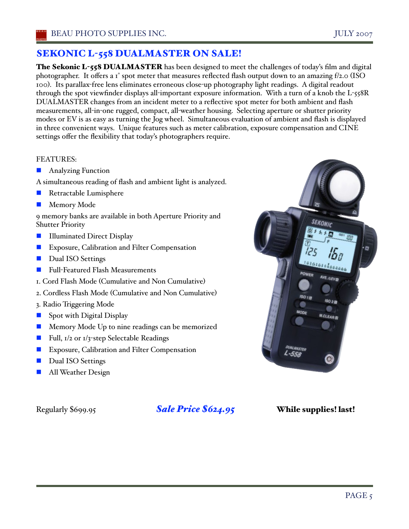## SEKONIC L-558 DUALMASTER ON SALE!

The Sekonic L-558 DUALMASTER has been designed to meet the challenges of today's film and digital photographer. It offers a 1° spot meter that measures reflected flash output down to an amazing f/2.0 (ISO 100). Its parallax-free lens eliminates erroneous close-up photography light readings. A digital readout through the spot viewfinder displays all-important exposure information. With a turn of a knob the L-558R DUALMASTER changes from an incident meter to a reflective spot meter for both ambient and flash measurements, all-in-one rugged, compact, all-weather housing. Selecting aperture or shutter priority modes or EV is as easy as turning the Jog wheel. Simultaneous evaluation of ambient and flash is displayed in three convenient ways. Unique features such as meter calibration, exposure compensation and CINE settings offer the flexibility that today's photographers require.

#### FEATURES:

- Analyzing Function
- A simultaneous reading of flash and ambient light is analyzed.
- Retractable Lumisphere
- **Memory Mode**

9 memory banks are available in both Aperture Priority and Shutter Priority

- Illuminated Direct Display
- **EXPOSURE, Calibration and Filter Compensation**
- Dual ISO Settings
- Full-Featured Flash Measurements
- 1. Cord Flash Mode (Cumulative and Non Cumulative)
- 2. Cordless Flash Mode (Cumulative and Non Cumulative)
- 3. Radio Triggering Mode
- Spot with Digital Display
- **Memory Mode Up to nine readings can be memorized**
- Full, 1/2 or 1/3-step Selectable Readings
- Exposure, Calibration and Filter Compensation
- Dual ISO Settings
- All Weather Design

Regularly \$699.95 *Sale Price \$624.95* While supplies! last!

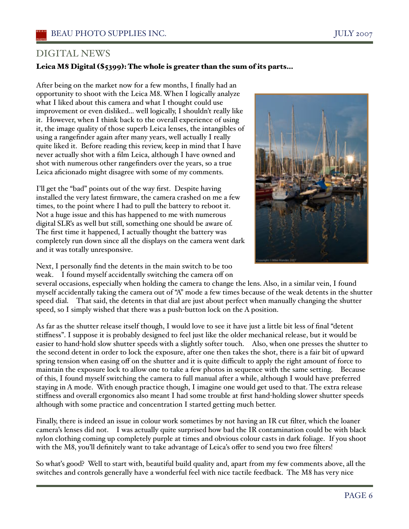## DIGITAL NEWS

#### Leica M8 Digital (\$5399): The whole is greater than the sum of its parts…

After being on the market now for a few months, I finally had an opportunity to shoot with the Leica M8. When I logically analyze what I liked about this camera and what I thought could use improvement or even disliked… well logically, I shouldn't really like it. However, when I think back to the overall experience of using it, the image quality of those superb Leica lenses, the intangibles of using a rangefinder again after many years, well actually I really quite liked it. Before reading this review, keep in mind that I have never actually shot with a film Leica, although I have owned and shot with numerous other rangefinders over the years, so a true Leica aficionado might disagree with some of my comments.

I'll get the "bad" points out of the way first. Despite having installed the very latest firmware, the camera crashed on me a few times, to the point where I had to pull the battery to reboot it. Not a huge issue and this has happened to me with numerous digital SLR's as well but still, something one should be aware of. The first time it happened, I actually thought the battery was completely run down since all the displays on the camera went dark and it was totally unresponsive.



Next, I personally find the detents in the main switch to be too weak. I found myself accidentally switching the camera off on

several occasions, especially when holding the camera to change the lens. Also, in a similar vein, I found myself accidentally taking the camera out of "A" mode a few times because of the weak detents in the shutter speed dial. That said, the detents in that dial are just about perfect when manually changing the shutter speed, so I simply wished that there was a push-button lock on the A position.

As far as the shutter release itself though, I would love to see it have just a little bit less of final "detent stiffness". I suppose it is probably designed to feel just like the older mechanical release, but it would be easier to hand-hold slow shutter speeds with a slightly softer touch. Also, when one presses the shutter to the second detent in order to lock the exposure, after one then takes the shot, there is a fair bit of upward spring tension when easing off on the shutter and it is quite difficult to apply the right amount of force to maintain the exposure lock to allow one to take a few photos in sequence with the same setting. Because of this, I found myself switching the camera to full manual after a while, although I would have preferred staying in A mode. With enough practice though, I imagine one would get used to that. The extra release stiffness and overall ergonomics also meant I had some trouble at first hand-holding slower shutter speeds although with some practice and concentration I started getting much better.

Finally, there is indeed an issue in colour work sometimes by not having an IR cut filter, which the loaner camera's lenses did not. I was actually quite surprised how bad the IR contamination could be with black nylon clothing coming up completely purple at times and obvious colour casts in dark foliage. If you shoot with the M8, you'll definitely want to take advantage of Leica's offer to send you two free filters!

So what's good? Well to start with, beautiful build quality and, apart from my few comments above, all the switches and controls generally have a wonderful feel with nice tactile feedback. The M8 has very nice